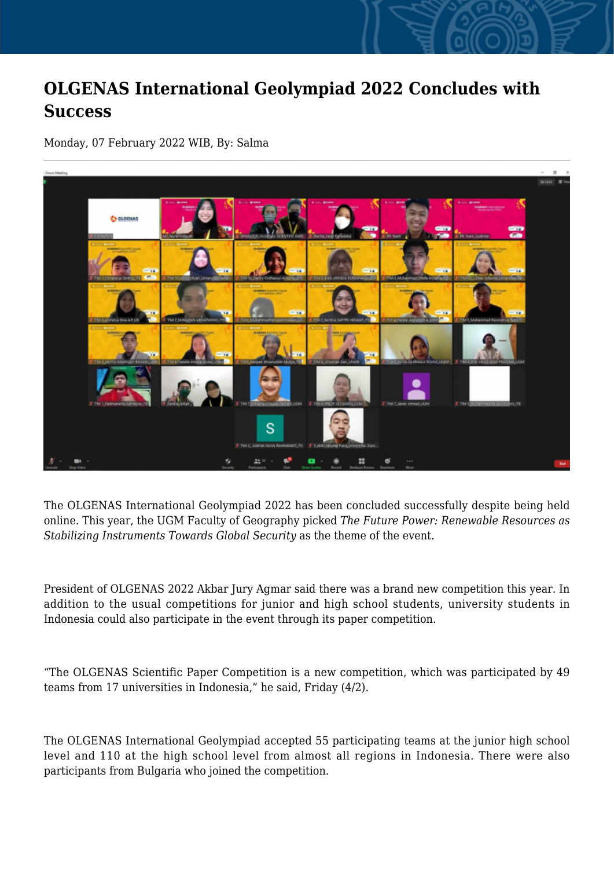## **OLGENAS International Geolympiad 2022 Concludes with Success**

Monday, 07 February 2022 WIB, By: Salma



The OLGENAS International Geolympiad 2022 has been concluded successfully despite being held online. This year, the UGM Faculty of Geography picked *The Future Power: Renewable Resources as Stabilizing Instruments Towards Global Security* as the theme of the event.

President of OLGENAS 2022 Akbar Jury Agmar said there was a brand new competition this year. In addition to the usual competitions for junior and high school students, university students in Indonesia could also participate in the event through its paper competition.

"The OLGENAS Scientific Paper Competition is a new competition, which was participated by 49 teams from 17 universities in Indonesia," he said, Friday (4/2).

The OLGENAS International Geolympiad accepted 55 participating teams at the junior high school level and 110 at the high school level from almost all regions in Indonesia. There were also participants from Bulgaria who joined the competition.